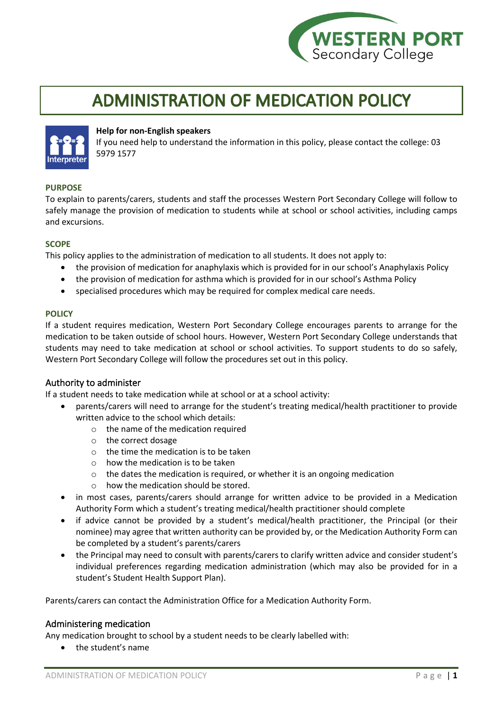

# **ADMINISTRATION OF MEDICATION POLICY**



## **Help for non-English speakers**

If you need help to understand the information in this policy, please contact the college: 03 5979 1577

#### **PURPOSE**

To explain to parents/carers, students and staff the processes Western Port Secondary College will follow to safely manage the provision of medication to students while at school or school activities, including camps and excursions.

#### **SCOPE**

This policy applies to the administration of medication to all students. It does not apply to:

- the provision of medication for anaphylaxis which is provided for in our school's Anaphylaxis Policy
- the provision of medication for asthma which is provided for in our school's Asthma Policy
- specialised procedures which may be required for complex medical care needs.

#### **POLICY**

If a student requires medication, Western Port Secondary College encourages parents to arrange for the medication to be taken outside of school hours. However, Western Port Secondary College understands that students may need to take medication at school or school activities. To support students to do so safely, Western Port Secondary College will follow the procedures set out in this policy.

#### Authority to administer

If a student needs to take medication while at school or at a school activity:

- parents/carers will need to arrange for the student's treating medical/health practitioner to provide written advice to the school which details:
	- o the name of the medication required
	- o the correct dosage
	- $\circ$  the time the medication is to be taken
	- $\circ$  how the medication is to be taken
	- o the dates the medication is required, or whether it is an ongoing medication
	- o how the medication should be stored.
- in most cases, parents/carers should arrange for written advice to be provided in a Medication Authority Form which a student's treating medical/health practitioner should complete
- if advice cannot be provided by a student's medical/health practitioner, the Principal (or their nominee) may agree that written authority can be provided by, or the Medication Authority Form can be completed by a student's parents/carers
- the Principal may need to consult with parents/carers to clarify written advice and consider student's individual preferences regarding medication administration (which may also be provided for in a student's Student Health Support Plan).

Parents/carers can contact the Administration Office for a Medication Authority Form.

# Administering medication

Any medication brought to school by a student needs to be clearly labelled with:

• the student's name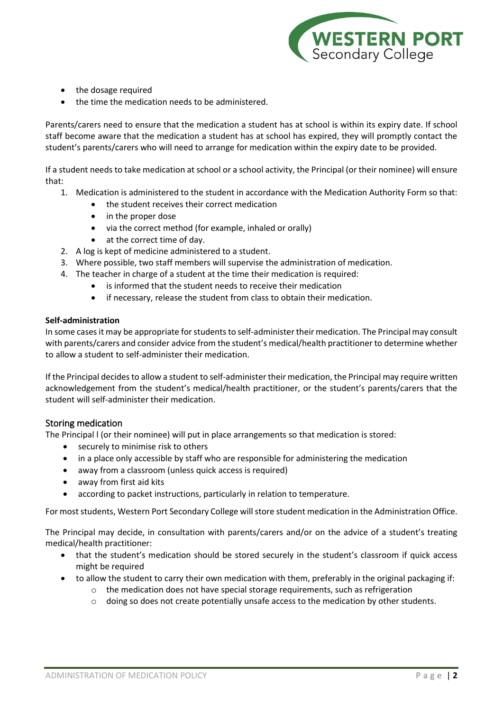

- the dosage required
- the time the medication needs to be administered.

Parents/carers need to ensure that the medication a student has at school is within its expiry date. If school staff become aware that the medication a student has at school has expired, they will promptly contact the student's parents/carers who will need to arrange for medication within the expiry date to be provided.

If a student needs to take medication at school or a school activity, the Principal (or their nominee) will ensure that:

- 1. Medication is administered to the student in accordance with the Medication Authority Form so that:
	- the student receives their correct medication
	- in the proper dose
	- via the correct method (for example, inhaled or orally)
	- at the correct time of day.
- 2. A log is kept of medicine administered to a student.
- 3. Where possible, two staff members will supervise the administration of medication.
- 4. The teacher in charge of a student at the time their medication is required:
	- is informed that the student needs to receive their medication
	- if necessary, release the student from class to obtain their medication.

#### **Self-administration**

In some cases it may be appropriate for students to self-administer their medication. The Principal may consult with parents/carers and consider advice from the student's medical/health practitioner to determine whether to allow a student to self-administer their medication.

If the Principal decides to allow a student to self-administer their medication, the Principal may require written acknowledgement from the student's medical/health practitioner, or the student's parents/carers that the student will self-administer their medication.

#### Storing medication

The Principal l (or their nominee) will put in place arrangements so that medication is stored:

- securely to minimise risk to others
- in a place only accessible by staff who are responsible for administering the medication
- away from a classroom (unless quick access is required)
- away from first aid kits
- according to packet instructions, particularly in relation to temperature.

For most students, Western Port Secondary College will store student medication in the Administration Office.

The Principal may decide, in consultation with parents/carers and/or on the advice of a student's treating medical/health practitioner:

- that the student's medication should be stored securely in the student's classroom if quick access might be required
- to allow the student to carry their own medication with them, preferably in the original packaging if:
	- $\circ$  the medication does not have special storage requirements, such as refrigeration
	- $\circ$  doing so does not create potentially unsafe access to the medication by other students.